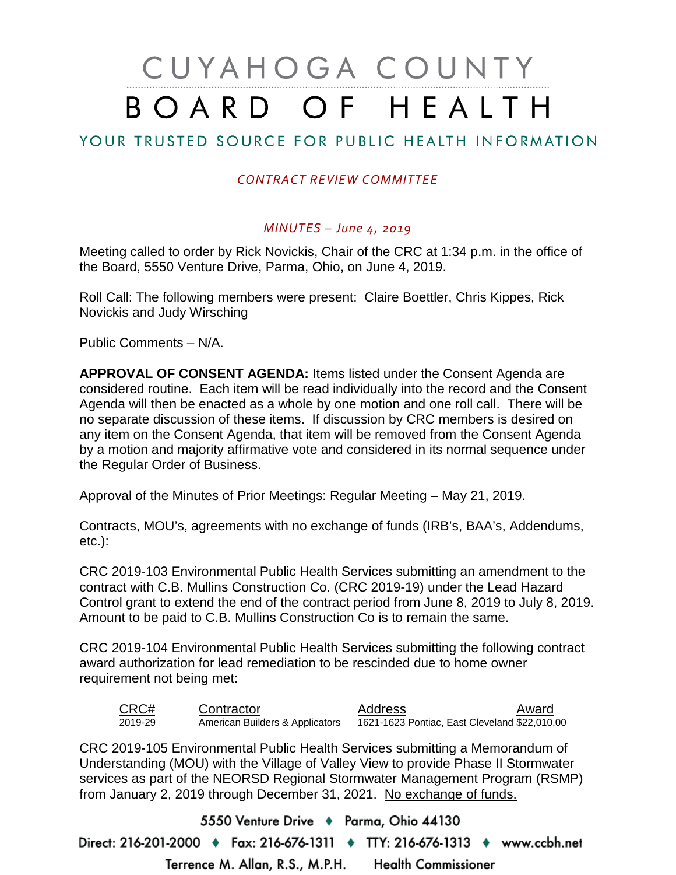# CUYAHOGA COUNTY BOARD OF HEALTH

## YOUR TRUSTED SOURCE FOR PUBLIC HEALTH INFORMATION

## *CONTRACT REVIEW COMMITTEE*

### *MINUTES – June 4, 2019*

Meeting called to order by Rick Novickis, Chair of the CRC at 1:34 p.m. in the office of the Board, 5550 Venture Drive, Parma, Ohio, on June 4, 2019.

Roll Call: The following members were present: Claire Boettler, Chris Kippes, Rick Novickis and Judy Wirsching

Public Comments – N/A.

**APPROVAL OF CONSENT AGENDA:** Items listed under the Consent Agenda are considered routine. Each item will be read individually into the record and the Consent Agenda will then be enacted as a whole by one motion and one roll call. There will be no separate discussion of these items. If discussion by CRC members is desired on any item on the Consent Agenda, that item will be removed from the Consent Agenda by a motion and majority affirmative vote and considered in its normal sequence under the Regular Order of Business.

Approval of the Minutes of Prior Meetings: Regular Meeting – May 21, 2019.

Contracts, MOU's, agreements with no exchange of funds (IRB's, BAA's, Addendums, etc.):

CRC 2019-103 Environmental Public Health Services submitting an amendment to the contract with C.B. Mullins Construction Co. (CRC 2019-19) under the Lead Hazard Control grant to extend the end of the contract period from June 8, 2019 to July 8, 2019. Amount to be paid to C.B. Mullins Construction Co is to remain the same.

CRC 2019-104 Environmental Public Health Services submitting the following contract award authorization for lead remediation to be rescinded due to home owner requirement not being met:

| CRC#    | Contractor                      | Address                                       | Award |
|---------|---------------------------------|-----------------------------------------------|-------|
| 2019-29 | American Builders & Applicators | 1621-1623 Pontiac, East Cleveland \$22,010.00 |       |

CRC 2019-105 Environmental Public Health Services submitting a Memorandum of Understanding (MOU) with the Village of Valley View to provide Phase II Stormwater services as part of the NEORSD Regional Stormwater Management Program (RSMP) from January 2, 2019 through December 31, 2021. No exchange of funds.

5550 Venture Drive + Parma, Ohio 44130 Direct: 216-201-2000 ♦ Fax: 216-676-1311 ♦ TTY: 216-676-1313 ♦ www.ccbh.net Terrence M. Allan, R.S., M.P.H. **Health Commissioner**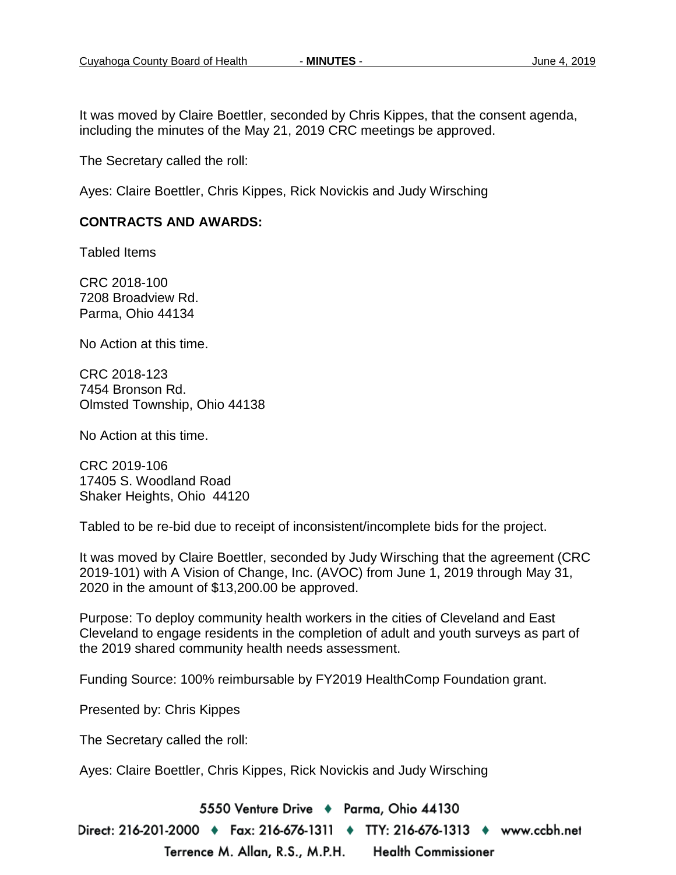It was moved by Claire Boettler, seconded by Chris Kippes, that the consent agenda, including the minutes of the May 21, 2019 CRC meetings be approved.

The Secretary called the roll:

Ayes: Claire Boettler, Chris Kippes, Rick Novickis and Judy Wirsching

#### **CONTRACTS AND AWARDS:**

Tabled Items

CRC 2018-100 7208 Broadview Rd. Parma, Ohio 44134

No Action at this time.

CRC 2018-123 7454 Bronson Rd. Olmsted Township, Ohio 44138

No Action at this time.

CRC 2019-106 17405 S. Woodland Road Shaker Heights, Ohio 44120

Tabled to be re-bid due to receipt of inconsistent/incomplete bids for the project.

It was moved by Claire Boettler, seconded by Judy Wirsching that the agreement (CRC 2019-101) with A Vision of Change, Inc. (AVOC) from June 1, 2019 through May 31, 2020 in the amount of \$13,200.00 be approved.

Purpose: To deploy community health workers in the cities of Cleveland and East Cleveland to engage residents in the completion of adult and youth surveys as part of the 2019 shared community health needs assessment.

Funding Source: 100% reimbursable by FY2019 HealthComp Foundation grant.

Presented by: Chris Kippes

The Secretary called the roll:

Ayes: Claire Boettler, Chris Kippes, Rick Novickis and Judy Wirsching

5550 Venture Drive + Parma, Ohio 44130

Direct: 216-201-2000 ♦ Fax: 216-676-1311 ♦ TTY: 216-676-1313 ♦ www.ccbh.net Terrence M. Allan, R.S., M.P.H. **Health Commissioner**